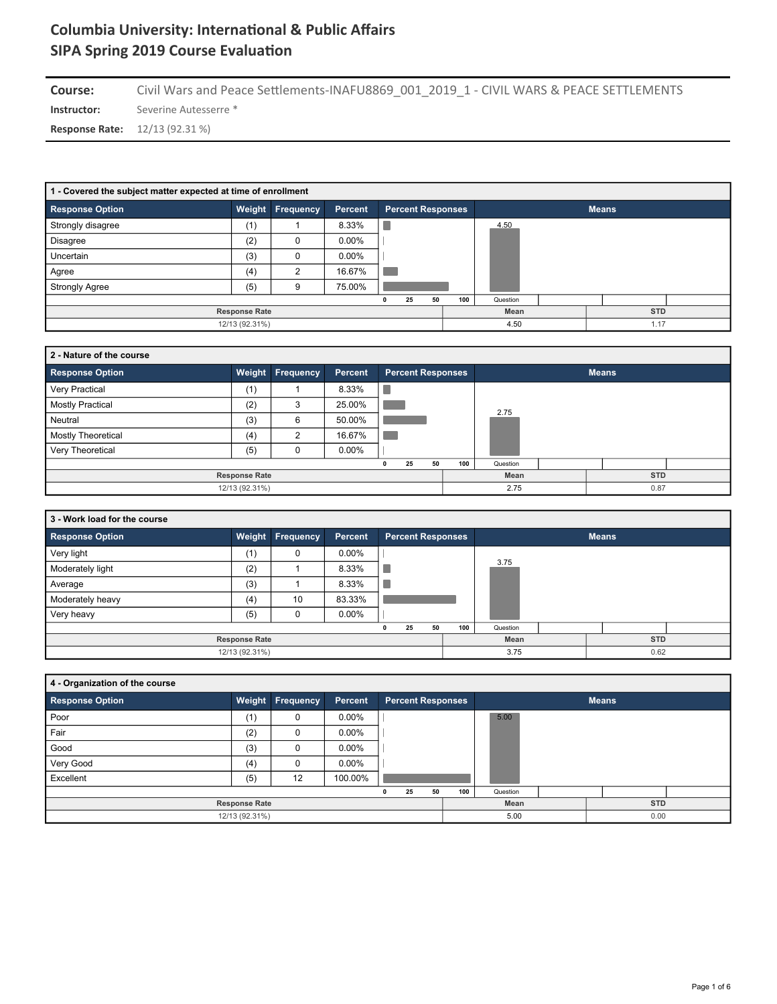**Instructor:** Severine Autesserre \* Course: Civil Wars and Peace Settlements-INAFU8869\_001\_2019\_1 - CIVIL WARS & PEACE SETTLEMENTS

**Response Rate:** 12/13 (92.31 %)

| 1 - Covered the subject matter expected at time of enrollment |                      |                  |          |                          |     |          |  |              |  |  |  |  |  |
|---------------------------------------------------------------|----------------------|------------------|----------|--------------------------|-----|----------|--|--------------|--|--|--|--|--|
| <b>Response Option</b>                                        |                      | Weight Frequency | Percent  | <b>Percent Responses</b> |     |          |  | <b>Means</b> |  |  |  |  |  |
| Strongly disagree                                             | (1)                  |                  | 8.33%    |                          |     | 4.50     |  |              |  |  |  |  |  |
| <b>Disagree</b>                                               | (2)                  | 0                | $0.00\%$ |                          |     |          |  |              |  |  |  |  |  |
| Uncertain                                                     | (3)                  | 0                | $0.00\%$ |                          |     |          |  |              |  |  |  |  |  |
| Agree                                                         | (4)                  | ົ                | 16.67%   |                          |     |          |  |              |  |  |  |  |  |
| <b>Strongly Agree</b>                                         | (5)                  | 9                | 75.00%   |                          |     |          |  |              |  |  |  |  |  |
|                                                               |                      |                  |          | 50<br>25                 | 100 | Question |  |              |  |  |  |  |  |
|                                                               | <b>Response Rate</b> |                  |          |                          |     | Mean     |  | <b>STD</b>   |  |  |  |  |  |
|                                                               | 12/13 (92.31%)       |                  |          |                          |     | 4.50     |  | 1.17         |  |  |  |  |  |

| 2 - Nature of the course |                      |                  |          |                          |     |          |              |  |
|--------------------------|----------------------|------------------|----------|--------------------------|-----|----------|--------------|--|
| <b>Response Option</b>   |                      | Weight Frequency | Percent  | <b>Percent Responses</b> |     |          | <b>Means</b> |  |
| Very Practical           | (1)                  |                  | 8.33%    |                          |     |          |              |  |
| <b>Mostly Practical</b>  | (2)                  | 3                | 25.00%   |                          |     | 2.75     |              |  |
| Neutral                  | (3)                  | 6                | 50.00%   |                          |     |          |              |  |
| Mostly Theoretical       | (4)                  | 2                | 16.67%   |                          |     |          |              |  |
| Very Theoretical         | (5)                  |                  | $0.00\%$ |                          |     |          |              |  |
|                          |                      |                  |          | 25<br>50<br>n            | 100 | Question |              |  |
|                          | <b>Response Rate</b> |                  |          |                          |     | Mean     | <b>STD</b>   |  |
|                          | 12/13 (92.31%)       |                  |          |                          |     | 2.75     | 0.87         |  |

| 3 - Work load for the course |                      |                         |          |                          |     |          |              |  |
|------------------------------|----------------------|-------------------------|----------|--------------------------|-----|----------|--------------|--|
| <b>Response Option</b>       |                      | <b>Weight Frequency</b> | Percent  | <b>Percent Responses</b> |     |          | <b>Means</b> |  |
| Very light                   | (1)                  | $\Omega$                | $0.00\%$ |                          |     |          |              |  |
| Moderately light             | (2)                  |                         | 8.33%    |                          |     | 3.75     |              |  |
| Average                      | (3)                  |                         | 8.33%    |                          |     |          |              |  |
| Moderately heavy             | (4)                  | 10                      | 83.33%   |                          |     |          |              |  |
| Very heavy                   | (5)                  |                         | $0.00\%$ |                          |     |          |              |  |
|                              |                      |                         |          | 25<br>50                 | 100 | Question |              |  |
|                              | <b>Response Rate</b> |                         |          |                          |     | Mean     | <b>STD</b>   |  |
|                              | 12/13 (92.31%)       |                         |          |                          |     | 3.75     | 0.62         |  |

| 4 - Organization of the course |                      |                         |          |                          |     |              |            |  |  |  |
|--------------------------------|----------------------|-------------------------|----------|--------------------------|-----|--------------|------------|--|--|--|
| Response Option                |                      | <b>Weight Frequency</b> | Percent  | <b>Percent Responses</b> |     | <b>Means</b> |            |  |  |  |
| Poor                           | (1)                  | 0                       | $0.00\%$ |                          |     | 5.00         |            |  |  |  |
| Fair                           | (2)                  | 0                       | $0.00\%$ |                          |     |              |            |  |  |  |
| Good                           | (3)                  | 0                       | $0.00\%$ |                          |     |              |            |  |  |  |
| Very Good                      | (4)                  | 0                       | $0.00\%$ |                          |     |              |            |  |  |  |
| Excellent                      | (5)                  | 12                      | 100.00%  |                          |     |              |            |  |  |  |
|                                |                      |                         |          | 25<br>50<br>$\mathbf{0}$ | 100 | Question     |            |  |  |  |
|                                | <b>Response Rate</b> |                         |          |                          |     | Mean         | <b>STD</b> |  |  |  |
|                                | 12/13 (92.31%)       |                         |          |                          |     | 5.00         | 0.00       |  |  |  |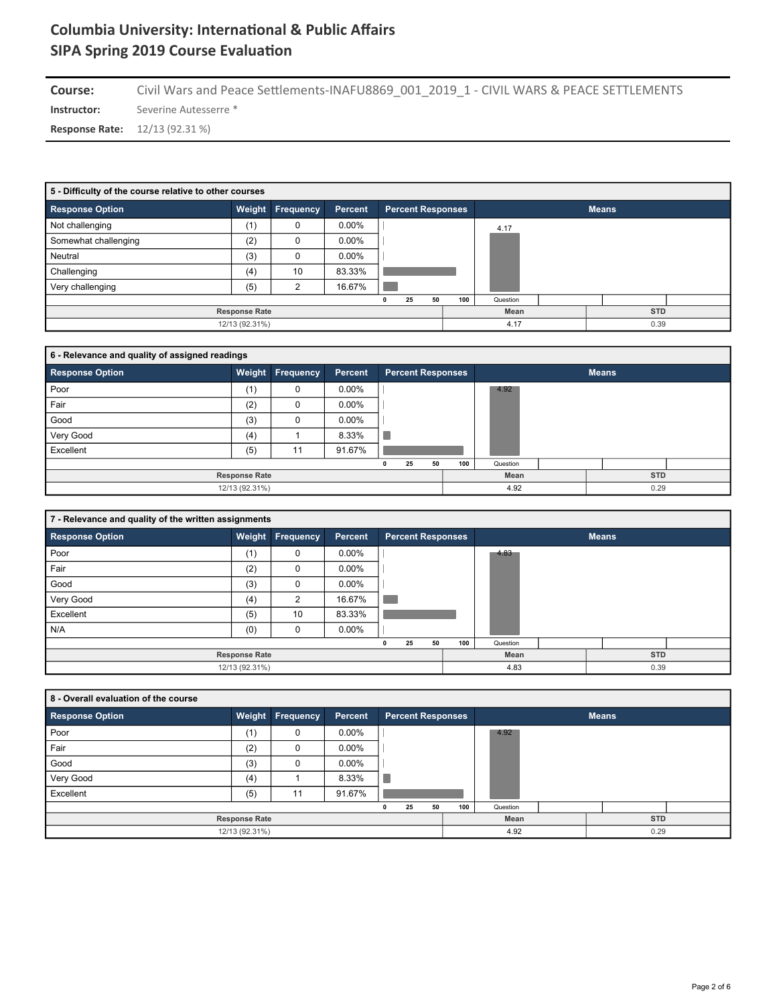Course: Civil Wars and Peace Settlements-INAFU8869\_001\_2019\_1 - CIVIL WARS & PEACE SETTLEMENTS

**Instructor:** Severine Autesserre \*

**Response Rate:** 12/13 (92.31 %)

| 5 - Difficulty of the course relative to other courses |                      |                |          |                          |     |              |  |            |  |  |  |  |
|--------------------------------------------------------|----------------------|----------------|----------|--------------------------|-----|--------------|--|------------|--|--|--|--|
| <b>Response Option</b>                                 | Weight               | Frequency      | Percent  | <b>Percent Responses</b> |     | <b>Means</b> |  |            |  |  |  |  |
| Not challenging                                        | (1)                  | 0              | $0.00\%$ |                          |     | 4.17         |  |            |  |  |  |  |
| Somewhat challenging                                   | (2)                  | 0              | $0.00\%$ |                          |     |              |  |            |  |  |  |  |
| Neutral                                                | (3)                  | 0              | $0.00\%$ |                          |     |              |  |            |  |  |  |  |
| Challenging                                            | (4)                  | 10             | 83.33%   |                          |     |              |  |            |  |  |  |  |
| Very challenging                                       | (5)                  | $\mathfrak{p}$ | 16.67%   |                          |     |              |  |            |  |  |  |  |
|                                                        |                      |                |          | 50<br>25<br>0            | 100 | Question     |  |            |  |  |  |  |
|                                                        | <b>Response Rate</b> |                |          |                          |     | Mean         |  | <b>STD</b> |  |  |  |  |
|                                                        | 12/13 (92.31%)       |                |          |                          |     | 4.17         |  | 0.39       |  |  |  |  |

| 6 - Relevance and quality of assigned readings |                      |                         |          |                          |     |              |  |            |  |  |  |  |
|------------------------------------------------|----------------------|-------------------------|----------|--------------------------|-----|--------------|--|------------|--|--|--|--|
| <b>Response Option</b>                         |                      | <b>Weight Frequency</b> | Percent  | <b>Percent Responses</b> |     | <b>Means</b> |  |            |  |  |  |  |
| Poor                                           | (1)                  | 0                       | $0.00\%$ |                          |     | 4.92         |  |            |  |  |  |  |
| Fair                                           | (2)                  | 0                       | $0.00\%$ |                          |     |              |  |            |  |  |  |  |
| Good                                           | (3)                  | 0                       | $0.00\%$ |                          |     |              |  |            |  |  |  |  |
| Very Good                                      | (4)                  |                         | 8.33%    |                          |     |              |  |            |  |  |  |  |
| Excellent                                      | (5)                  | 11                      | 91.67%   |                          |     |              |  |            |  |  |  |  |
|                                                |                      |                         |          | 50<br>25<br>0            | 100 | Question     |  |            |  |  |  |  |
|                                                | <b>Response Rate</b> |                         |          |                          |     | Mean         |  | <b>STD</b> |  |  |  |  |
|                                                | 12/13 (92.31%)       |                         |          |                          |     | 4.92         |  | 0.29       |  |  |  |  |

|                        | 7 - Relevance and quality of the written assignments |           |          |                          |     |          |              |  |  |  |  |  |  |
|------------------------|------------------------------------------------------|-----------|----------|--------------------------|-----|----------|--------------|--|--|--|--|--|--|
| <b>Response Option</b> | Weight                                               | Frequency | Percent  | <b>Percent Responses</b> |     |          | <b>Means</b> |  |  |  |  |  |  |
| Poor                   | (1)                                                  | 0         | $0.00\%$ |                          |     | 4.83     |              |  |  |  |  |  |  |
| Fair                   | (2)                                                  | 0         | $0.00\%$ |                          |     |          |              |  |  |  |  |  |  |
| Good                   | (3)                                                  | 0         | $0.00\%$ |                          |     |          |              |  |  |  |  |  |  |
| Very Good              | (4)                                                  | 2         | 16.67%   |                          |     |          |              |  |  |  |  |  |  |
| Excellent              | (5)                                                  | 10        | 83.33%   |                          |     |          |              |  |  |  |  |  |  |
| N/A                    | (0)                                                  | 0         | $0.00\%$ |                          |     |          |              |  |  |  |  |  |  |
|                        |                                                      |           |          | 25<br>50<br>$\mathbf{0}$ | 100 | Question |              |  |  |  |  |  |  |
|                        | <b>Response Rate</b>                                 |           |          |                          |     | Mean     | <b>STD</b>   |  |  |  |  |  |  |
|                        | 12/13 (92.31%)                                       |           |          |                          |     | 4.83     | 0.39         |  |  |  |  |  |  |

| 8 - Overall evaluation of the course |                      |                         |          |                          |     |          |              |  |
|--------------------------------------|----------------------|-------------------------|----------|--------------------------|-----|----------|--------------|--|
| <b>Response Option</b>               |                      | <b>Weight Frequency</b> | Percent  | <b>Percent Responses</b> |     |          | <b>Means</b> |  |
| Poor                                 | (1)                  | 0                       | $0.00\%$ |                          |     | 4.92     |              |  |
| Fair                                 | (2)                  | 0                       | $0.00\%$ |                          |     |          |              |  |
| Good                                 | (3)                  | 0                       | $0.00\%$ |                          |     |          |              |  |
| Very Good                            | (4)                  |                         | 8.33%    | u                        |     |          |              |  |
| Excellent                            | (5)                  | 11                      | 91.67%   |                          |     |          |              |  |
|                                      |                      |                         |          | 25<br>50<br>$\mathbf{0}$ | 100 | Question |              |  |
|                                      | <b>Response Rate</b> |                         |          |                          |     | Mean     | <b>STD</b>   |  |
|                                      | 12/13 (92.31%)       |                         |          |                          |     | 4.92     | 0.29         |  |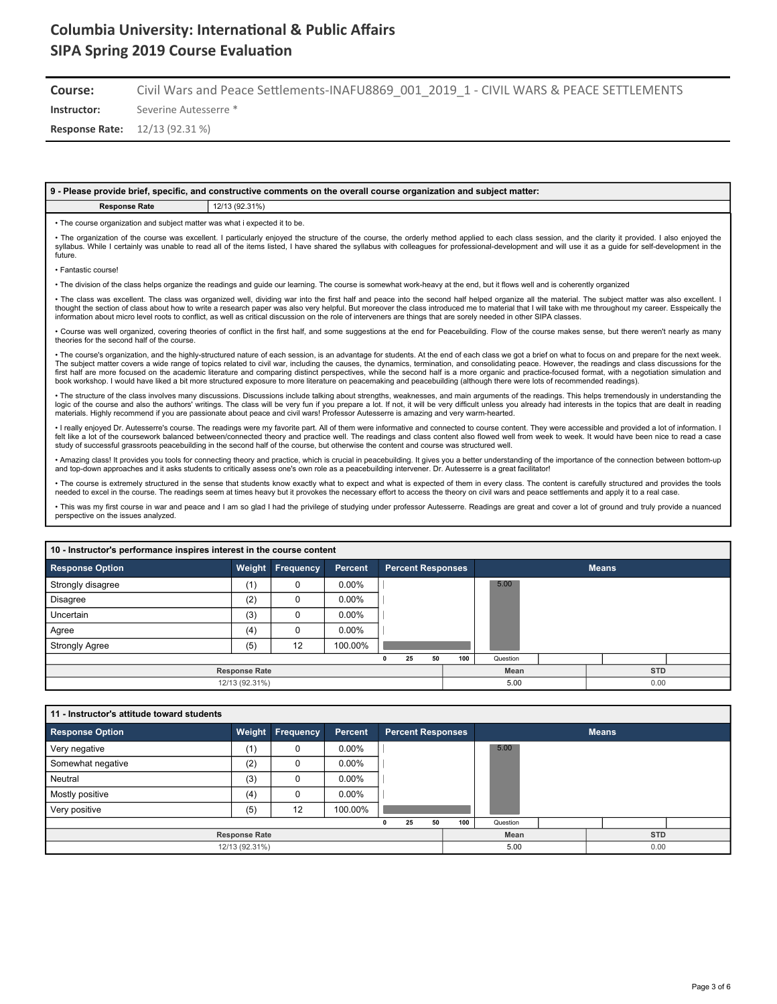**Course:** Civil Wars and Peace Settlements-INAFU8869\_001\_2019\_1 - CIVIL WARS & PEACE SETTLEMENTS

**Instructor:** Severine Autesserre \*

**Response Rate:** 12/13 (92.31 %)

#### **9 - Please provide brief, specific, and constructive comments on the overall course organization and subject matter:**

### **Response Rate** 12/13 (92.31%)

• The course organization and subject matter was what i expected it to be.

• The organization of the course was excellent. I particularly enjoyed the structure of the course, the orderly method applied to each class session, and the clarity it provided. I also enjoyed the syllabus. While I certainly was unable to read all of the items listed, I have shared the syllabus with colleagues for professional-development and will use it as a guide for self-development in the future.

• Fantastic course!

• The division of the class helps organize the readings and guide our learning. The course is somewhat work-heavy at the end, but it flows well and is coherently organized

• The class was excellent. The class was organized well, dividing war into the first half and peace into the second half helped organize all the material. The subject matter was also excellent. I thought the section of class about how to write a research paper was also very helpful. But moreover the class introduced me to material that I will take with me throughout my career. Esspeically the information about micro level roots to conflict, as well as critical discussion on the role of interveners are things that are sorely needed in other SIPA classes.

• Course was well organized, covering theories of conflict in the first half, and some suggestions at the end for Peacebuilding. Flow of the course makes sense, but there weren't nearly as many theories for the second half of the course.

The course's organization, and the highly-structured nature of each session, is an advantage for students. At the end of each class we got a brief on what to focus on and prepare for the next week. The subject matter covers a wide range of topics related to civil war, including the causes, the dynamics, termination, and consolidating peace. However, the readings and class discussions for the first half are more focused on the academic literature and comparing distinct perspectives, while the second half is a more organic and practice-focused format, with a negotiation simulation and book workshop. I would have liked a bit more structured exposure to more literature on peacemaking and peacebuilding (although there were lots of recommended readings).

• The structure of the class involves many discussions. Discussions include talking about strengths, weaknesses, and main arguments of the readings. This helps tremendously in understanding the logic of the course and also the authors' writings. The class will be very fun if you prepare a lot. If not, it will be very difficult unless you already had interests in the topics that are dealt in reading<br>materials. Hig

really enjoyed Dr. Autesserre's course. The readings were my favorite part. All of them were informative and connected to course content. They were accessible and provided a lot of information. I felt like a lot of the coursework balanced between/connected theory and practice well. The readings and class content also flowed well from week to week. It would have been nice to read a case study of successful grassroots peacebuilding in the second half of the course, but otherwise the content and course was structured well.

• Amazing class! It provides you tools for connecting theory and practice, which is crucial in peacebuilding. It gives you a better understanding of the importance of the connection between bottom-up and top-down approaches and it asks students to critically assess one's own role as a peacebuilding intervener. Dr. Autesserre is a great facilitator

• The course is extremely structured in the sense that students know exactly what to expect and what is expected of them in every class. The content is carefully structured and provides the tools needed to excel in the course. The readings seem at times heavy but it provokes the necessary effort to access the theory on civil wars and peace settlements and apply it to a real case.

• This was my first course in war and peace and I am so glad I had the privilege of studying under professor Autesserre. Readings are great and cover a lot of ground and truly provide a nuanced perspective on the issues analyzed.

| 10 - Instructor's performance inspires interest in the course content |                      |                         |          |                          |           |          |  |              |  |  |  |  |
|-----------------------------------------------------------------------|----------------------|-------------------------|----------|--------------------------|-----------|----------|--|--------------|--|--|--|--|
| <b>Response Option</b>                                                |                      | <b>Weight Frequency</b> | Percent  | <b>Percent Responses</b> |           |          |  | <b>Means</b> |  |  |  |  |
| Strongly disagree                                                     | (1)                  | 0                       | $0.00\%$ |                          |           | 5.00     |  |              |  |  |  |  |
| <b>Disagree</b>                                                       | (2)                  | 0                       | $0.00\%$ |                          |           |          |  |              |  |  |  |  |
| Uncertain                                                             | (3)                  | 0                       | $0.00\%$ |                          |           |          |  |              |  |  |  |  |
| Agree                                                                 | (4)                  | 0                       | $0.00\%$ |                          |           |          |  |              |  |  |  |  |
| <b>Strongly Agree</b>                                                 | (5)                  | 12                      | 100.00%  |                          |           |          |  |              |  |  |  |  |
|                                                                       |                      |                         |          | 25<br>0                  | 50<br>100 | Question |  |              |  |  |  |  |
|                                                                       | <b>Response Rate</b> |                         |          |                          |           | Mean     |  | <b>STD</b>   |  |  |  |  |
|                                                                       | 12/13 (92.31%)       |                         |          |                          |           | 5.00     |  | 0.00         |  |  |  |  |

| 11 - Instructor's attitude toward students |                      |                         |          |                          |     |              |  |            |  |
|--------------------------------------------|----------------------|-------------------------|----------|--------------------------|-----|--------------|--|------------|--|
| <b>Response Option</b>                     |                      | <b>Weight Frequency</b> | Percent  | <b>Percent Responses</b> |     | <b>Means</b> |  |            |  |
| Very negative                              | (1)                  | 0                       | $0.00\%$ |                          |     | 5.00         |  |            |  |
| Somewhat negative                          | (2)                  | 0                       | $0.00\%$ |                          |     |              |  |            |  |
| Neutral                                    | (3)                  | 0                       | $0.00\%$ |                          |     |              |  |            |  |
| Mostly positive                            | (4)                  |                         | $0.00\%$ |                          |     |              |  |            |  |
| Very positive                              | (5)                  | 12                      | 100.00%  |                          |     |              |  |            |  |
|                                            |                      |                         |          | 25<br>50                 | 100 | Question     |  |            |  |
|                                            | <b>Response Rate</b> |                         |          |                          |     | Mean         |  | <b>STD</b> |  |
|                                            | 12/13 (92.31%)       |                         |          |                          |     | 5.00         |  | 0.00       |  |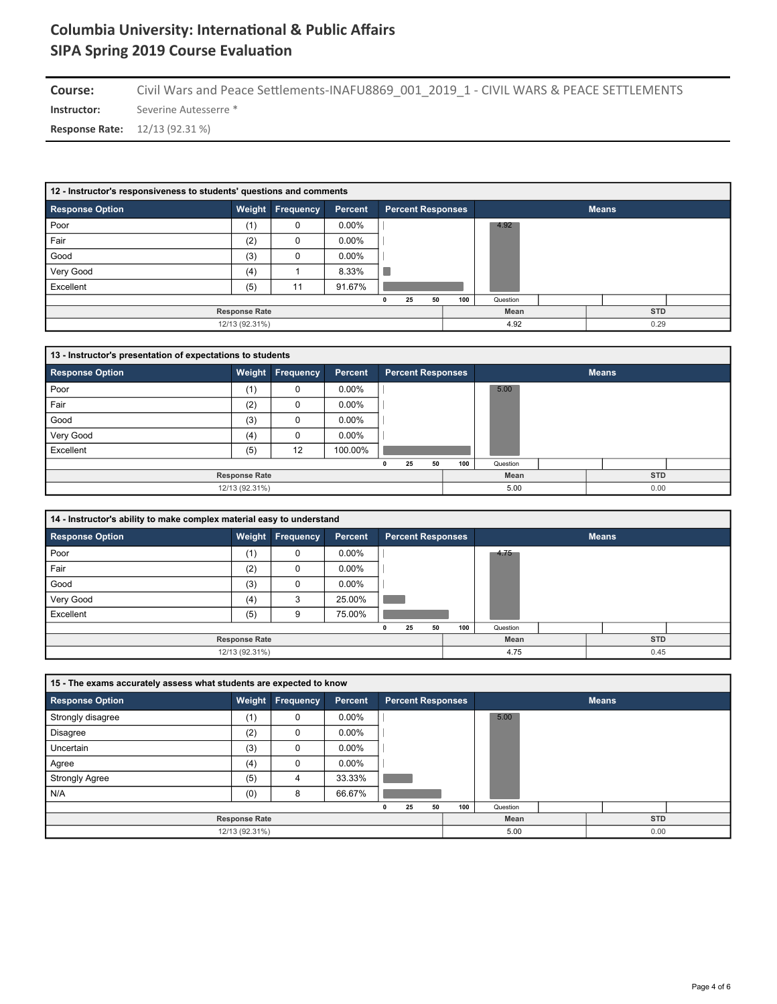**Instructor:** Severine Autesserre \* Course: Civil Wars and Peace Settlements-INAFU8869\_001\_2019\_1 - CIVIL WARS & PEACE SETTLEMENTS

**Response Rate:** 12/13 (92.31 %)

| 12 - Instructor's responsiveness to students' questions and comments |                      |                         |                |                          |     |              |  |            |  |  |  |  |
|----------------------------------------------------------------------|----------------------|-------------------------|----------------|--------------------------|-----|--------------|--|------------|--|--|--|--|
| <b>Response Option</b>                                               |                      | <b>Weight Frequency</b> | <b>Percent</b> | <b>Percent Responses</b> |     | <b>Means</b> |  |            |  |  |  |  |
| Poor                                                                 | (1)                  | 0                       | $0.00\%$       |                          |     | 4.92         |  |            |  |  |  |  |
| Fair                                                                 | (2)                  | 0                       | $0.00\%$       |                          |     |              |  |            |  |  |  |  |
| Good                                                                 | (3)                  | 0                       | $0.00\%$       |                          |     |              |  |            |  |  |  |  |
| Very Good                                                            | (4)                  |                         | 8.33%          |                          |     |              |  |            |  |  |  |  |
| Excellent                                                            | (5)                  | 11                      | 91.67%         |                          |     |              |  |            |  |  |  |  |
|                                                                      |                      |                         |                | 25<br>50                 | 100 | Question     |  |            |  |  |  |  |
|                                                                      | <b>Response Rate</b> |                         |                |                          |     | Mean         |  | <b>STD</b> |  |  |  |  |
|                                                                      | 12/13 (92.31%)       |                         |                |                          |     | 4.92         |  | 0.29       |  |  |  |  |

| 13 - Instructor's presentation of expectations to students |                      |                  |          |                          |     |              |  |            |  |  |  |  |
|------------------------------------------------------------|----------------------|------------------|----------|--------------------------|-----|--------------|--|------------|--|--|--|--|
| <b>Response Option</b>                                     |                      | Weight Frequency | Percent  | <b>Percent Responses</b> |     | <b>Means</b> |  |            |  |  |  |  |
| Poor                                                       | (1)                  | 0                | $0.00\%$ |                          |     | 5.00         |  |            |  |  |  |  |
| Fair                                                       | (2)                  | 0                | $0.00\%$ |                          |     |              |  |            |  |  |  |  |
| Good                                                       | (3)                  | 0                | $0.00\%$ |                          |     |              |  |            |  |  |  |  |
| Very Good                                                  | (4)                  | 0                | $0.00\%$ |                          |     |              |  |            |  |  |  |  |
| Excellent                                                  | (5)                  | 12               | 100.00%  |                          |     |              |  |            |  |  |  |  |
|                                                            |                      |                  |          | 25<br>50<br>n            | 100 | Question     |  |            |  |  |  |  |
|                                                            | <b>Response Rate</b> |                  |          |                          |     | Mean         |  | <b>STD</b> |  |  |  |  |
|                                                            | 12/13 (92.31%)       |                  |          |                          |     | 5.00         |  | 0.00       |  |  |  |  |

| 14 - Instructor's ability to make complex material easy to understand |                      |                  |          |                          |           |          |  |              |  |
|-----------------------------------------------------------------------|----------------------|------------------|----------|--------------------------|-----------|----------|--|--------------|--|
| <b>Response Option</b>                                                |                      | Weight Frequency | Percent  | <b>Percent Responses</b> |           |          |  | <b>Means</b> |  |
| Poor                                                                  | (1)                  | 0                | $0.00\%$ |                          |           | 4.75     |  |              |  |
| Fair                                                                  | (2)                  |                  | $0.00\%$ |                          |           |          |  |              |  |
| Good                                                                  | (3)                  |                  | $0.00\%$ |                          |           |          |  |              |  |
| Very Good                                                             | (4)                  | 3                | 25.00%   |                          |           |          |  |              |  |
| Excellent                                                             | (5)                  | g                | 75.00%   |                          |           |          |  |              |  |
|                                                                       |                      |                  |          | 25                       | 50<br>100 | Question |  |              |  |
|                                                                       | <b>Response Rate</b> |                  |          |                          |           | Mean     |  | <b>STD</b>   |  |
|                                                                       | 12/13 (92.31%)       |                  |          |                          |           | 4.75     |  | 0.45         |  |

| 15 - The exams accurately assess what students are expected to know |     |                         |          |  |                          |    |     |          |              |  |
|---------------------------------------------------------------------|-----|-------------------------|----------|--|--------------------------|----|-----|----------|--------------|--|
| <b>Response Option</b>                                              |     | <b>Weight Frequency</b> | Percent  |  | <b>Percent Responses</b> |    |     |          | <b>Means</b> |  |
| Strongly disagree                                                   | (1) | 0                       | $0.00\%$ |  |                          |    |     | 5.00     |              |  |
| <b>Disagree</b>                                                     | (2) | 0                       | $0.00\%$ |  |                          |    |     |          |              |  |
| Uncertain                                                           | (3) | 0                       | $0.00\%$ |  |                          |    |     |          |              |  |
| Agree                                                               | (4) | 0                       | $0.00\%$ |  |                          |    |     |          |              |  |
| <b>Strongly Agree</b>                                               | (5) | 4                       | 33.33%   |  |                          |    |     |          |              |  |
| N/A                                                                 | (0) | 8                       | 66.67%   |  |                          |    |     |          |              |  |
|                                                                     |     |                         |          |  | 25                       | 50 | 100 | Question |              |  |
| <b>Response Rate</b>                                                |     |                         |          |  |                          |    |     | Mean     | <b>STD</b>   |  |
| 12/13 (92.31%)                                                      |     |                         |          |  |                          |    |     | 5.00     | 0.00         |  |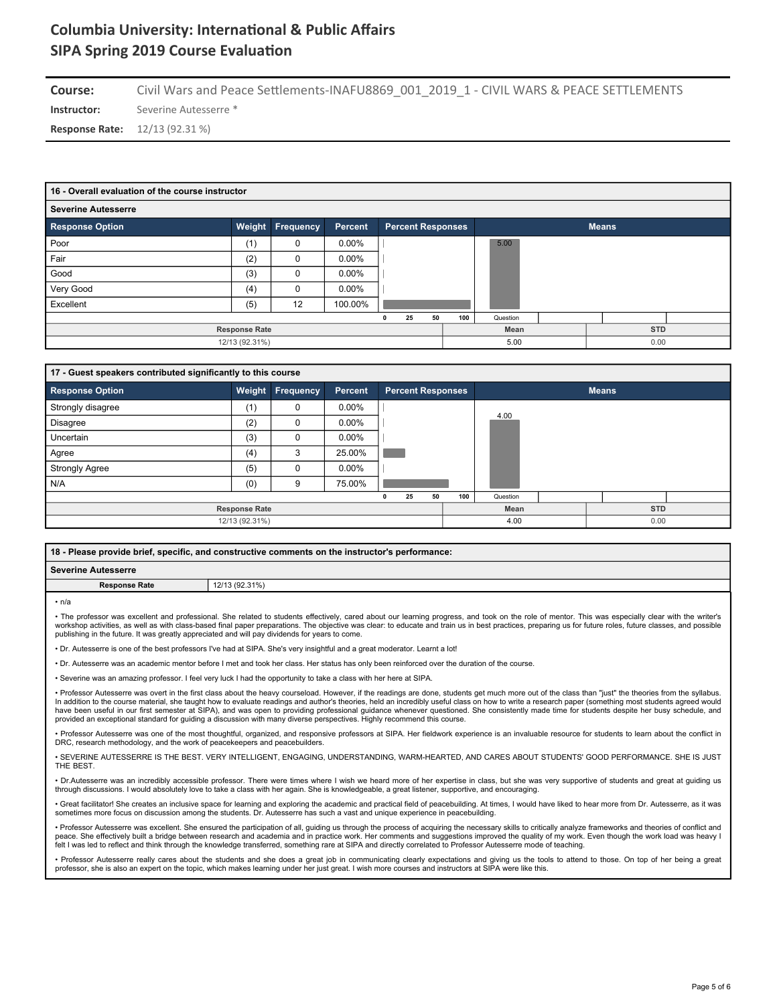**Instructor:** Severine Autesserre \* **Course:** Civil Wars and Peace Settlements-INAFU8869\_001\_2019\_1 - CIVIL WARS & PEACE SETTLEMENTS

**Response Rate:** 12/13 (92.31 %)

| 16 - Overall evaluation of the course instructor |                      |                  |                |                          |     |          |  |              |  |
|--------------------------------------------------|----------------------|------------------|----------------|--------------------------|-----|----------|--|--------------|--|
| <b>Severine Autesserre</b>                       |                      |                  |                |                          |     |          |  |              |  |
| <b>Response Option</b>                           | Weight               | <b>Frequency</b> | <b>Percent</b> | <b>Percent Responses</b> |     |          |  | <b>Means</b> |  |
| Poor                                             | (1)                  | 0                | $0.00\%$       |                          |     | 5.00     |  |              |  |
| Fair                                             | (2)                  | 0                | $0.00\%$       |                          |     |          |  |              |  |
| Good                                             | (3)                  | 0                | $0.00\%$       |                          |     |          |  |              |  |
| Very Good                                        | (4)                  | 0                | $0.00\%$       |                          |     |          |  |              |  |
| Excellent                                        | (5)                  | 12               | 100.00%        |                          |     |          |  |              |  |
|                                                  |                      |                  |                | 50<br>25                 | 100 | Question |  |              |  |
|                                                  | <b>Response Rate</b> |                  |                |                          |     | Mean     |  | <b>STD</b>   |  |
|                                                  | 12/13 (92.31%)       |                  |                |                          |     | 5.00     |  | 0.00         |  |

| 17 - Guest speakers contributed significantly to this course |                      |           |          |   |                          |    |     |          |              |  |
|--------------------------------------------------------------|----------------------|-----------|----------|---|--------------------------|----|-----|----------|--------------|--|
| <b>Response Option</b>                                       | Weight               | Frequency | Percent  |   | <b>Percent Responses</b> |    |     |          | <b>Means</b> |  |
| Strongly disagree                                            | (1)                  | 0         | $0.00\%$ |   |                          |    |     |          |              |  |
| Disagree                                                     | (2)                  | 0         | $0.00\%$ |   |                          |    |     | 4.00     |              |  |
| Uncertain                                                    | (3)                  | $\Omega$  | $0.00\%$ |   |                          |    |     |          |              |  |
| Agree                                                        | (4)                  | 3         | 25.00%   |   |                          |    |     |          |              |  |
| <b>Strongly Agree</b>                                        | (5)                  | 0         | $0.00\%$ |   |                          |    |     |          |              |  |
| N/A                                                          | (0)                  | 9         | 75.00%   |   |                          |    |     |          |              |  |
|                                                              |                      |           |          | 0 | 25                       | 50 | 100 | Question |              |  |
|                                                              | <b>Response Rate</b> |           |          |   |                          |    |     | Mean     | <b>STD</b>   |  |
|                                                              | 12/13 (92.31%)       |           |          |   |                          |    |     | 4.00     | 0.00         |  |

| 18 - Please provide brief, specific, and constructive comments on the instructor's performance: |                |  |  |  |  |
|-------------------------------------------------------------------------------------------------|----------------|--|--|--|--|
| l Severine Autesserre                                                                           |                |  |  |  |  |
| <b>Response Rate</b>                                                                            | 12/13 (92.31%) |  |  |  |  |
|                                                                                                 |                |  |  |  |  |

 $n/\varepsilon$ 

• The professor was excellent and professional. She related to students effectively, cared about our learning progress, and took on the role of mentor. This was especially clear with the writer's workshop activities, as well as with class-based final paper preparations. The objective was clear: to educate and train us in best practices, preparing us for future roles, future classes, and possible was clear: to educa publishing in the future. It was greatly appreciated and will pay dividends for years to come.

utesserre is one of the best professors I've had at SIPA. She's very insightful and a great moderator. Learnt a lot!

• Dr. Autesserre was an academic mentor before I met and took her class. Her status has only been reinforced over the duration of the course.

• Severine was an amazing professor. I feel very luck I had the opportunity to take a class with her here at SIPA.

• Professor Autesserre was overt in the first class about the heavy courseload. However, if the readings are done, students get much more out of the class than "just" the theories from the syllabus. In addition to the course material, she taught how to evaluate readings and author's theories, held an incredibly useful class on how to write a research paper (something most students agreed would<br>have been useful in our provided an exceptional standard for guiding a discussion with many diverse perspectives. Highly recommend this course.

• Professor Autesserre was one of the most thoughtful, organized, and responsive professors at SIPA. Her fieldwork experience is an invaluable resource for students to learn about the conflict in DRC, research methodology, and the work of peacekeepers and peacebuilders.

• SEVERINE AUTESSERRE IS THE BEST. VERY INTELLIGENT, ENGAGING, UNDERSTANDING, WARM-HEARTED, AND CARES ABOUT STUDENTS' GOOD PERFORMANCE. SHE IS JUST **THE BEST** 

• Dr.Autesserre was an incredibly accessible professor. There were times where I wish we heard more of her expertise in class, but she was very supportive of students and great at guiding us through discussions. I would absolutely love to take a class with her again. She is knowledgeable, a great listener, supportive, and encouraging.

• Great facilitator! She creates an inclusive space for learning and exploring the academic and practical field of peacebuilding. At times, I would have liked to hear more from Dr. Autesserre, as it was<br>sometimes more focu

• Professor Autesserre was excellent. She ensured the participation of all, quiding us through the process of acquiring the necessary skills to critically analyze frameworks and theories of conflict and peace. She effectively built a bridge between research and academia and in practice work. Her comments and suggestions improved the quality of my work. Even though the work load was heavy I felt I was led to reflect and think through the knowledge transferred, something rare at SIPA and directly correlated to Professor Autesserre mode of teaching.

• Professor Autesserre really cares about the students and she does a great job in communicating clearly expectations and giving us the tools to attend to those. On top of her being a great<br>professor, she is also an expert